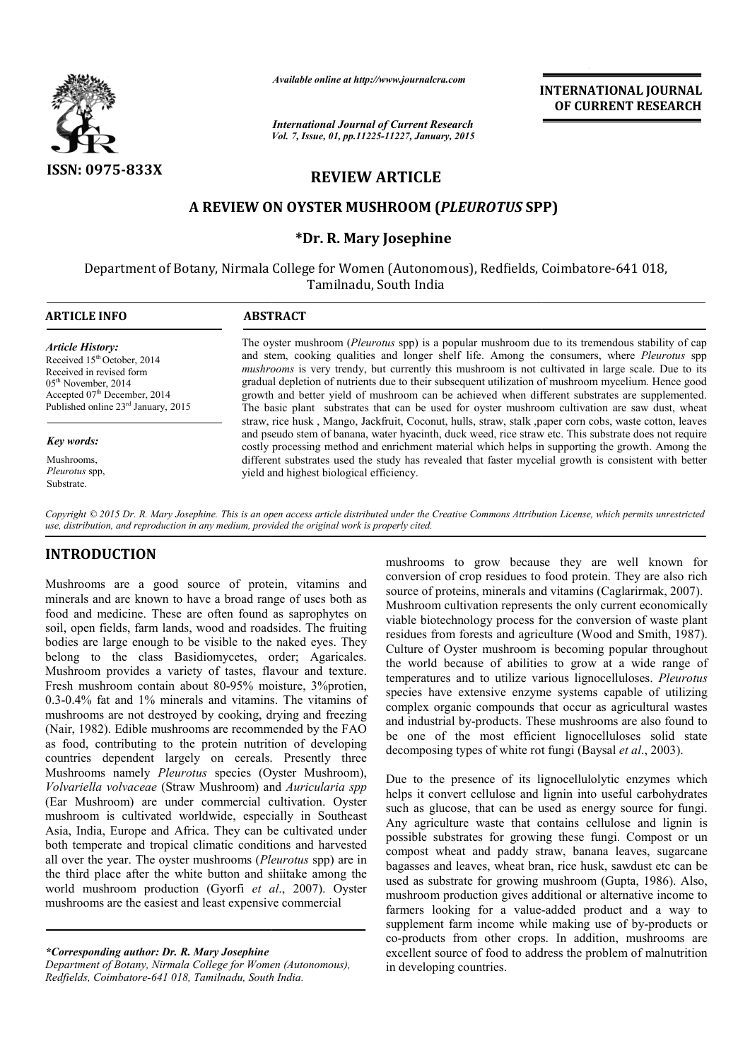

*Available online at http://www.journalcra.com*

*International Journal of Current Research Vol. 7, Issue, 01, pp.11225-11227, January, 2015* **INTERNATIONAL INTERNATIONAL JOURNAL OF CURRENT RESEARCH** 

# **REVIEW ARTICLE**

## **A REVIEW ON OYSTER MUSHROOM (** *PLEUROTUS* **SPP)**

### **\*Dr. R. Mary Josephine**

Department of Botany, Nirmala College for Women (Autonomous), Redfields, Coimbatore Redfields, Coimbatore-641 018, Tamilnadu, South India

| <b>ARTICLE INFO</b>                                                                                                                                                                              | <b>ABSTRACT</b>                                                                                                                                                                                                                                                                                                                                                                                                                                                                                                                                                                                                                                                                                                                                                                                                                                                                                                                                                                                                                                                                                                        |
|--------------------------------------------------------------------------------------------------------------------------------------------------------------------------------------------------|------------------------------------------------------------------------------------------------------------------------------------------------------------------------------------------------------------------------------------------------------------------------------------------------------------------------------------------------------------------------------------------------------------------------------------------------------------------------------------------------------------------------------------------------------------------------------------------------------------------------------------------------------------------------------------------------------------------------------------------------------------------------------------------------------------------------------------------------------------------------------------------------------------------------------------------------------------------------------------------------------------------------------------------------------------------------------------------------------------------------|
| <b>Article History:</b><br>Received 15 <sup>th</sup> October, 2014<br>Received in revised form<br>$05th$ November, 2014<br>Accepted 07th December, 2014<br>Published online $23rd$ January, 2015 | The oyster mushroom ( <i>Pleurotus</i> spp) is a popular mushroom due to its tremendous stability of cap<br>and stem, cooking qualities and longer shelf life. Among the consumers, where <i>Pleurotus</i> spp<br><i>mushrooms</i> is very trendy, but currently this mushroom is not cultivated in large scale. Due to its<br>gradual depletion of nutrients due to their subsequent utilization of mushroom mycelium. Hence good<br>growth and better yield of mushroom can be achieved when different substrates are supplemented.<br>The basic plant substrates that can be used for oyster mushroom cultivation are saw dust, wheat<br>straw, rice husk, Mango, Jackfruit, Coconut, hulls, straw, stalk, paper corn cobs, waste cotton, leaves<br>and pseudo stem of banana, water hyacinth, duck weed, rice straw etc. This substrate does not require<br>costly processing method and enrichment material which helps in supporting the growth. Among the<br>different substrates used the study has revealed that faster mycelial growth is consistent with better<br>yield and highest biological efficiency. |
| Key words:                                                                                                                                                                                       |                                                                                                                                                                                                                                                                                                                                                                                                                                                                                                                                                                                                                                                                                                                                                                                                                                                                                                                                                                                                                                                                                                                        |
| Mushrooms,<br>Pleurotus spp.<br>Substrate.                                                                                                                                                       |                                                                                                                                                                                                                                                                                                                                                                                                                                                                                                                                                                                                                                                                                                                                                                                                                                                                                                                                                                                                                                                                                                                        |

Copyright © 2015 Dr. R. Mary Josephine. This is an open access article distributed under the Creative Commons Attribution License, which permits unrestrictea *use, distribution, and reproduction in any medium, provided the original work is properly cited.*

## **INTRODUCTION**

Mushrooms are a good source of protein, vitamins and minerals and are known to have a broad range of uses both as food and medicine. These are often found as saprophytes on soil, open fields, farm lands, wood and roadsides. The fruiting bodies are large enough to be visible to the naked eyes. They belong to the class Basidiomycetes, order; Agaricales. Mushroom provides a variety of tastes, flavour and texture. Fresh mushroom contain about 80-95% moisture, 3%protien,  $0.3\n-0.4\%$  fat and  $1\%$  minerals and vitamins. The vitamins of mushrooms are not destroyed by cooking, drying and freezing (Nair, 1982). Edible mushrooms are recommended by the FAO as food, contributing to the protein nutrition of developing countries dependent largely on cereals. Presently three Mushrooms namely *Pleurotus* species (Oyster Mushroom), *Volvariella volvaceae* (Straw Mushroom) and *Auricularia spp*  (Ear Mushroom) are under commercial cultivation. Oyster mushroom is cultivated worldwide, especially in Southeast Asia, India, Europe and Africa. They can be cultivated under both temperate and tropical climatic conditions and harvested all over the year. The oyster mushrooms (*Pleurotus*  spp) are in the third place after the white button and shiitake among the world mushroom production (Gyorfi *et al* ., 2007). Oyster mushrooms are the easiest and least expensive commercial ough to be visible to the naked eyes. They<br>lass Basidiomycetes, order; Agaricales.<br>s a variety of tastes, flavour and texture.

*\*Corresponding author: Dr. R. Mary Josephine*

*Department of Botany, Nirmala College for Women (Autonomous), Redfields, Coimbatore-641 018, Tamilnadu, South India 641 India.*

mushrooms to grow because they are well known for mushrooms to grow because they are well known for conversion of crop residues to food protein. They are also rich source of proteins, minerals and vitamins (Caglarirmak, 2007). Mushroom cultivation represents the only current economically Mushroom cultivation represents the only current economically viable biotechnology process for the conversion of waste plant residues from forests and agriculture (Wood and Smith, 1987). Culture of Oyster mushroom is becoming popular throughout the world because of abilities to grow at a wide range of temperatures and to utilize various lignocelluloses. Pleurotus species have extensive enzyme systems capable of utilizing complex organic compounds that occur as agricultural wastes and industrial by-products. These mushrooms are also found to be one of the most efficient lignocelluloses solid state be one of the most efficient lignocelluloses solid decomposing types of white rot fungi (Baysal *et al.*, 2003). Smith, 1987). Oyster mushroom is becoming popular throughout because of abilities to grow at a wide range of abilities various lignocelluloses. *Pleurotus* **INTERNATIONAL JOURNAL TIONAL FORMATION CONTRACT THE RESEARCT CONTROL TO COURNEL THE RESEARCT CONTROL (CONTROL)**<br> **CONTROLL CONTROLL CONTROLL CONTROLL CONTROLL CONTROLL CONTROLL CONTROLL CONTROLL CONTROLL CONTROLL CONTROL** 

Due to the presence of its lignocellulolytic enzymes which Due to the presence of its lignocellulolytic enzymes which helps it convert cellulose and lignin into useful carbohydrates such as glucose, that can be used as energy source for fungi. Any agriculture waste that contains cellulose and lignin is possible substrates for growing these fungi. Compost or un compost wheat and paddy straw, banana leaves, sugarcane bagasses and leaves, wheat bran, rice husk, sawdust etc can be used as substrate for growing mushroom (Gupta, 1986). Also, mushroom production gives additional or alternative income to mushroom production gives additional or alternative income to<br>farmers looking for a value-added product and a way to supplement farm income while making use of by-products or co-products from other crops. In addition, mushrooms are excellent source of food to address the problem of malnutrition in developing countries. as glucose, that can be used as energy source<br>agriculture waste that contains cellulose and<br>ble substrates for growing these fungi. Com<br>ost wheat and paddy straw, banana leaves,<br>ses and leaves, wheat bran, rice husk, sawdu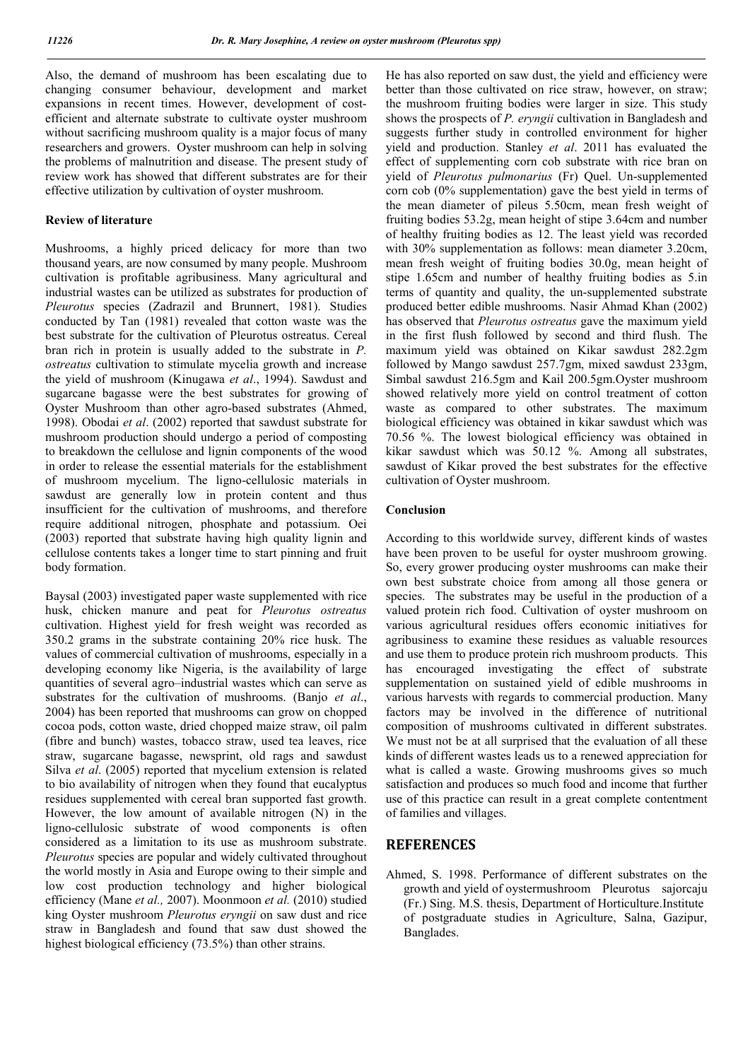Also, the demand of mushroom has been escalating due to changing consumer behaviour, development and market expansions in recent times. However, development of costefficient and alternate substrate to cultivate oyster mushroom without sacrificing mushroom quality is a major focus of many researchers and growers. Oyster mushroom can help in solving the problems of malnutrition and disease. The present study of review work has showed that different substrates are for their effective utilization by cultivation of oyster mushroom.

#### **Review of literature**

Mushrooms, a highly priced delicacy for more than two thousand years, are now consumed by many people. Mushroom cultivation is profitable agribusiness. Many agricultural and industrial wastes can be utilized as substrates for production of *Pleurotus* species (Zadrazil and Brunnert, 1981). Studies conducted by Tan (1981) revealed that cotton waste was the best substrate for the cultivation of Pleurotus ostreatus. Cereal bran rich in protein is usually added to the substrate in *P. ostreatus* cultivation to stimulate mycelia growth and increase the yield of mushroom (Kinugawa *et al*., 1994). Sawdust and sugarcane bagasse were the best substrates for growing of Oyster Mushroom than other agro-based substrates (Ahmed, 1998). Obodai *et al*. (2002) reported that sawdust substrate for mushroom production should undergo a period of composting to breakdown the cellulose and lignin components of the wood in order to release the essential materials for the establishment of mushroom mycelium. The ligno-cellulosic materials in sawdust are generally low in protein content and thus insufficient for the cultivation of mushrooms, and therefore require additional nitrogen, phosphate and potassium. Oei (2003) reported that substrate having high quality lignin and cellulose contents takes a longer time to start pinning and fruit body formation.

Baysal (2003) investigated paper waste supplemented with rice husk, chicken manure and peat for *Pleurotus ostreatus*  cultivation. Highest yield for fresh weight was recorded as 350.2 grams in the substrate containing 20% rice husk. The values of commercial cultivation of mushrooms, especially in a developing economy like Nigeria, is the availability of large quantities of several agro–industrial wastes which can serve as substrates for the cultivation of mushrooms. (Banjo *et al*., 2004) has been reported that mushrooms can grow on chopped cocoa pods, cotton waste, dried chopped maize straw, oil palm (fibre and bunch) wastes, tobacco straw, used tea leaves, rice straw, sugarcane bagasse, newsprint, old rags and sawdust Silva *et al*. (2005) reported that mycelium extension is related to bio availability of nitrogen when they found that eucalyptus residues supplemented with cereal bran supported fast growth. However, the low amount of available nitrogen (N) in the ligno-cellulosic substrate of wood components is often considered as a limitation to its use as mushroom substrate. *Pleurotus* species are popular and widely cultivated throughout the world mostly in Asia and Europe owing to their simple and low cost production technology and higher biological efficiency (Mane *et al.,* 2007). Moonmoon *et al.* (2010) studied king Oyster mushroom *Pleurotus eryngii* on saw dust and rice straw in Bangladesh and found that saw dust showed the highest biological efficiency (73.5%) than other strains.

He has also reported on saw dust, the yield and efficiency were better than those cultivated on rice straw, however, on straw; the mushroom fruiting bodies were larger in size. This study shows the prospects of *P. eryngii* cultivation in Bangladesh and suggests further study in controlled environment for higher yield and production. Stanley *et al*. 2011 has evaluated the effect of supplementing corn cob substrate with rice bran on yield of *Pleurotus pulmonarius* (Fr) Quel. Un-supplemented corn cob (0% supplementation) gave the best yield in terms of the mean diameter of pileus 5.50cm, mean fresh weight of fruiting bodies 53.2g, mean height of stipe 3.64cm and number of healthy fruiting bodies as 12. The least yield was recorded with 30% supplementation as follows: mean diameter 3.20cm, mean fresh weight of fruiting bodies 30.0g, mean height of stipe 1.65cm and number of healthy fruiting bodies as 5.in terms of quantity and quality, the un-supplemented substrate produced better edible mushrooms. Nasir Ahmad Khan (2002) has observed that *Pleurotus ostreatus* gave the maximum yield in the first flush followed by second and third flush. The maximum yield was obtained on Kikar sawdust 282.2gm followed by Mango sawdust 257.7gm, mixed sawdust 233gm, Simbal sawdust 216.5gm and Kail 200.5gm.Oyster mushroom showed relatively more yield on control treatment of cotton waste as compared to other substrates. The maximum biological efficiency was obtained in kikar sawdust which was 70.56 %. The lowest biological efficiency was obtained in kikar sawdust which was 50.12 %. Among all substrates, sawdust of Kikar proved the best substrates for the effective cultivation of Oyster mushroom.

#### **Conclusion**

According to this worldwide survey, different kinds of wastes have been proven to be useful for oyster mushroom growing. So, every grower producing oyster mushrooms can make their own best substrate choice from among all those genera or species. The substrates may be useful in the production of a valued protein rich food. Cultivation of oyster mushroom on various agricultural residues offers economic initiatives for agribusiness to examine these residues as valuable resources and use them to produce protein rich mushroom products. This has encouraged investigating the effect of substrate supplementation on sustained yield of edible mushrooms in various harvests with regards to commercial production. Many factors may be involved in the difference of nutritional composition of mushrooms cultivated in different substrates. We must not be at all surprised that the evaluation of all these kinds of different wastes leads us to a renewed appreciation for what is called a waste. Growing mushrooms gives so much satisfaction and produces so much food and income that further use of this practice can result in a great complete contentment of families and villages.

### **REFERENCES**

Ahmed, S. 1998. Performance of different substrates on the growth and yield of oystermushroom Pleurotus sajorcaju (Fr.) Sing. M.S. thesis, Department of Horticulture.Institute of postgraduate studies in Agriculture, Salna, Gazipur, Banglades.